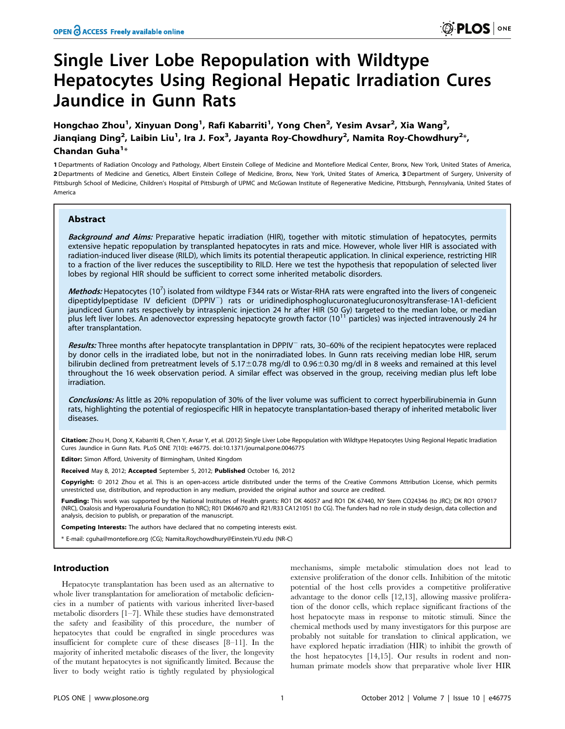# Single Liver Lobe Repopulation with Wildtype Hepatocytes Using Regional Hepatic Irradiation Cures Jaundice in Gunn Rats

Hongchao Zhou<sup>1</sup>, Xinyuan Dong<sup>1</sup>, Rafi Kabarriti<sup>1</sup>, Yong Chen<sup>2</sup>, Yesim Avsar<sup>2</sup>, Xia Wang<sup>2</sup>, Jianqiang Ding<sup>2</sup>, Laibin Liu<sup>1</sup>, Ira J. Fox<sup>3</sup>, Jayanta Roy-Chowdhury<sup>2</sup>, Namita Roy-Chowdhury<sup>2</sup>\*, Chandan Guha $^{1*}$ 

1 Departments of Radiation Oncology and Pathology, Albert Einstein College of Medicine and Montefiore Medical Center, Bronx, New York, United States of America, 2 Departments of Medicine and Genetics, Albert Einstein College of Medicine, Bronx, New York, United States of America, 3 Department of Surgery, University of Pittsburgh School of Medicine, Children's Hospital of Pittsburgh of UPMC and McGowan Institute of Regenerative Medicine, Pittsburgh, Pennsylvania, United States of America

# Abstract

Background and Aims: Preparative hepatic irradiation (HIR), together with mitotic stimulation of hepatocytes, permits extensive hepatic repopulation by transplanted hepatocytes in rats and mice. However, whole liver HIR is associated with radiation-induced liver disease (RILD), which limits its potential therapeutic application. In clinical experience, restricting HIR to a fraction of the liver reduces the susceptibility to RILD. Here we test the hypothesis that repopulation of selected liver lobes by regional HIR should be sufficient to correct some inherited metabolic disorders.

Methods: Hepatocytes (10<sup>7</sup>) isolated from wildtype F344 rats or Wistar-RHA rats were engrafted into the livers of congeneic dipeptidylpeptidase IV deficient (DPPIV<sup>-</sup>) rats or uridinediphosphoglucuronateglucuronosyltransferase-1A1-deficient jaundiced Gunn rats respectively by intrasplenic injection 24 hr after HIR (50 Gy) targeted to the median lobe, or median plus left liver lobes. An adenovector expressing hepatocyte growth factor (10<sup>11</sup> particles) was injected intravenously 24 hr after transplantation.

Results: Three months after hepatocyte transplantation in DPPIV<sup>-</sup> rats, 30–60% of the recipient hepatocytes were replaced by donor cells in the irradiated lobe, but not in the nonirradiated lobes. In Gunn rats receiving median lobe HIR, serum bilirubin declined from pretreatment levels of  $5.17\pm0.78$  mg/dl to 0.96 $\pm$ 0.30 mg/dl in 8 weeks and remained at this level throughout the 16 week observation period. A similar effect was observed in the group, receiving median plus left lobe irradiation.

Conclusions: As little as 20% repopulation of 30% of the liver volume was sufficient to correct hyperbilirubinemia in Gunn rats, highlighting the potential of regiospecific HIR in hepatocyte transplantation-based therapy of inherited metabolic liver diseases.

Citation: Zhou H, Dong X, Kabarriti R, Chen Y, Avsar Y, et al. (2012) Single Liver Lobe Repopulation with Wildtype Hepatocytes Using Regional Hepatic Irradiation Cures Jaundice in Gunn Rats. PLoS ONE 7(10): e46775. doi:10.1371/journal.pone.0046775

Editor: Simon Afford, University of Birmingham, United Kingdom

Received May 8, 2012; Accepted September 5, 2012; Published October 16, 2012

Copyright: © 2012 Zhou et al. This is an open-access article distributed under the terms of the Creative Commons Attribution License, which permits unrestricted use, distribution, and reproduction in any medium, provided the original author and source are credited.

Funding: This work was supported by the National Institutes of Health grants: RO1 DK 46057 and RO1 DK 67440, NY Stem CO24346 (to JRC); DK RO1 079017 (NRC), Oxalosis and Hyperoxaluria Foundation (to NRC); R01 DK64670 and R21/R33 CA121051 (to CG). The funders had no role in study design, data collection and analysis, decision to publish, or preparation of the manuscript.

Competing Interests: The authors have declared that no competing interests exist.

\* E-mail: cguha@montefiore.org (CG); Namita.Roychowdhury@Einstein.YU.edu (NR-C)

# Introduction

Hepatocyte transplantation has been used as an alternative to whole liver transplantation for amelioration of metabolic deficiencies in a number of patients with various inherited liver-based metabolic disorders [1–7]. While these studies have demonstrated the safety and feasibility of this procedure, the number of hepatocytes that could be engrafted in single procedures was insufficient for complete cure of these diseases [8–11]. In the majority of inherited metabolic diseases of the liver, the longevity of the mutant hepatocytes is not significantly limited. Because the liver to body weight ratio is tightly regulated by physiological

mechanisms, simple metabolic stimulation does not lead to extensive proliferation of the donor cells. Inhibition of the mitotic potential of the host cells provides a competitive proliferative advantage to the donor cells [12,13], allowing massive proliferation of the donor cells, which replace significant fractions of the host hepatocyte mass in response to mitotic stimuli. Since the chemical methods used by many investigators for this purpose are probably not suitable for translation to clinical application, we have explored hepatic irradiation (HIR) to inhibit the growth of the host hepatocytes [14,15]. Our results in rodent and nonhuman primate models show that preparative whole liver HIR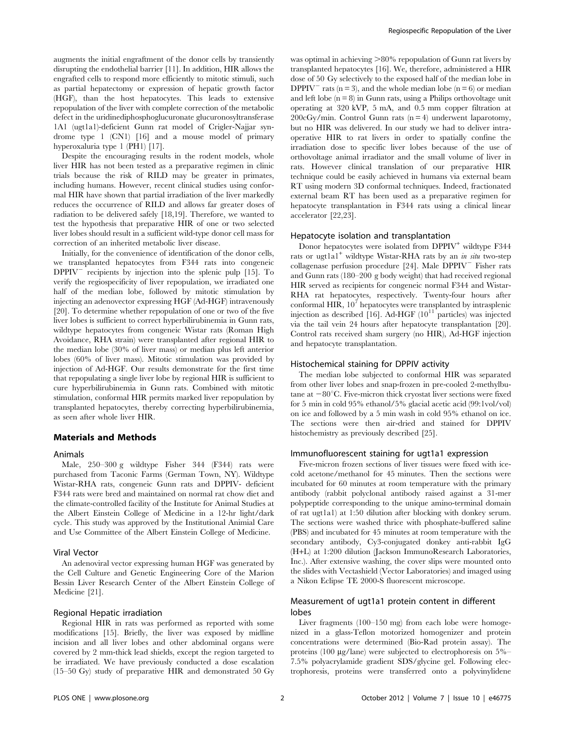augments the initial engraftment of the donor cells by transiently disrupting the endothelial barrier [11]. In addition, HIR allows the engrafted cells to respond more efficiently to mitotic stimuli, such as partial hepatectomy or expression of hepatic growth factor (HGF), than the host hepatocytes. This leads to extensive repopulation of the liver with complete correction of the metabolic defect in the uridinediphosphoglucuronate glucuronosyltransferase 1A1 (ugt1a1)-deficient Gunn rat model of Crigler-Najjar syndrome type 1 (CN1) [16] and a mouse model of primary hyperoxaluria type 1 (PH1) [17].

Despite the encouraging results in the rodent models, whole liver HIR has not been tested as a preparative regimen in clinic trials because the risk of RILD may be greater in primates, including humans. However, recent clinical studies using conformal HIR have shown that partial irradiation of the liver markedly reduces the occurrence of RILD and allows far greater doses of radiation to be delivered safely [18,19]. Therefore, we wanted to test the hypothesis that preparative HIR of one or two selected liver lobes should result in a sufficient wild-type donor cell mass for correction of an inherited metabolic liver disease.

Initially, for the convenience of identification of the donor cells, we transplanted hepatocytes from F344 rats into congeneic  $DPPIV$ <sup> $-$ </sup> recipients by injection into the splenic pulp [15]. To verify the regiospecificity of liver repopulation, we irradiated one half of the median lobe, followed by mitotic stimulation by injecting an adenovector expressing HGF (Ad-HGF) intravenously [20]. To determine whether repopulation of one or two of the five liver lobes is sufficient to correct hyperbilirubinemia in Gunn rats, wildtype hepatocytes from congeneic Wistar rats (Roman High Avoidance, RHA strain) were transplanted after regional HIR to the median lobe (30% of liver mass) or median plus left anterior lobes (60% of liver mass). Mitotic stimulation was provided by injection of Ad-HGF. Our results demonstrate for the first time that repopulating a single liver lobe by regional HIR is sufficient to cure hyperbilirubinemia in Gunn rats. Combined with mitotic stimulation, conformal HIR permits marked liver repopulation by transplanted hepatocytes, thereby correcting hyperbilirubinemia, as seen after whole liver HIR.

# Materials and Methods

#### Animals

Male, 250–300 g wildtype Fisher 344 (F344) rats were purchased from Taconic Farms (German Town, NY). Wildtype Wistar-RHA rats, congeneic Gunn rats and DPPIV- deficient F344 rats were bred and maintained on normal rat chow diet and the climate-controlled facility of the Institute for Animal Studies at the Albert Einstein College of Medicine in a 12-hr light/dark cycle. This study was approved by the Institutional Animial Care and Use Committee of the Albert Einstein College of Medicine.

#### Viral Vector

An adenoviral vector expressing human HGF was generated by the Cell Culture and Genetic Engineering Core of the Marion Bessin Liver Research Center of the Albert Einstein College of Medicine [21].

# Regional Hepatic irradiation

Regional HIR in rats was performed as reported with some modifications [15]. Briefly, the liver was exposed by midline incision and all liver lobes and other abdominal organs were covered by 2 mm-thick lead shields, except the region targeted to be irradiated. We have previously conducted a dose escalation (15–50 Gy) study of preparative HIR and demonstrated 50 Gy was optimal in achieving  $>80\%$  repopulation of Gunn rat livers by transplanted hepatocytes [16]. We, therefore, administered a HIR dose of 50 Gy selectively to the exposed half of the median lobe in DPPIV<sup>-</sup> rats (n = 3), and the whole median lobe (n = 6) or median and left lobe  $(n = 8)$  in Gunn rats, using a Philips orthovoltage unit operating at 320 kVP, 5 mA, and 0.5 mm copper filtration at  $200cGy/min$ . Control Gunn rats (n = 4) underwent laparotomy, but no HIR was delivered. In our study we had to deliver intraoperative HIR to rat livers in order to spatially confine the irradiation dose to specific liver lobes because of the use of orthovoltage animal irradiator and the small volume of liver in rats. However clinical translation of our preparative HIR technique could be easily achieved in humans via external beam RT using modern 3D conformal techniques. Indeed, fractionated external beam RT has been used as a preparative regimen for hepatocyte transplantation in F344 rats using a clinical linear accelerator [22,23].

#### Hepatocyte isolation and transplantation

Donor hepatocytes were isolated from DPPIV<sup>+</sup> wildtype F344 rats or ugt1a<sup>1+</sup> wildtype Wistar-RHA rats by an *in situ* two-step collagenase perfusion procedure  $[24]$ . Male DPPIV<sup>-</sup> Fisher rats and Gunn rats (180–200 g body weight) that had received regional HIR served as recipients for congeneic normal F344 and Wistar-RHA rat hepatocytes, respectively. Twenty-four hours after conformal HIR,  $10<sup>7</sup>$  hepatocytes were transplanted by intrasplenic injection as described [16]. Ad-HGF  $(10^{11}$  particles) was injected via the tail vein 24 hours after hepatocyte transplantation [20]. Control rats received sham surgery (no HIR), Ad-HGF injection and hepatocyte transplantation.

#### Histochemical staining for DPPIV activity

The median lobe subjected to conformal HIR was separated from other liver lobes and snap-frozen in pre-cooled 2-methylbutane at  $-80^{\circ}$ C. Five-micron thick cryostat liver sections were fixed for 5 min in cold 95% ethanol/5% glacial acetic acid (99:1vol/vol) on ice and followed by a 5 min wash in cold 95% ethanol on ice. The sections were then air-dried and stained for DPPIV histochemistry as previously described [25].

#### Immunofluorescent staining for ugt1a1 expression

Five-micron frozen sections of liver tissues were fixed with icecold acetone/methanol for 45 minutes. Then the sections were incubated for 60 minutes at room temperature with the primary antibody (rabbit polyclonal antibody raised against a 31-mer polypeptide corresponding to the unique amino-terminal domain of rat ugt1a1) at 1:50 dilution after blocking with donkey serum. The sections were washed thrice with phosphate-buffered saline (PBS) and incubated for 45 minutes at room temperature with the secondary antibody, Cy3-conjugated donkey anti-rabbit IgG (H+L) at 1:200 dilution (Jackson ImmunoResearch Laboratories, Inc.). After extensive washing, the cover slips were mounted onto the slides with Vectashield (Vector Laboratories) and imaged using a Nikon Eclipse TE 2000-S fluorescent microscope.

# Measurement of ugt1a1 protein content in different lobes

Liver fragments (100–150 mg) from each lobe were homogenized in a glass-Teflon motorized homogenizer and protein concentrations were determined (Bio-Rad protein assay). The proteins (100  $\mu$ g/lane) were subjected to electrophoresis on 5%– 7.5% polyacrylamide gradient SDS/glycine gel. Following electrophoresis, proteins were transferred onto a polyvinylidene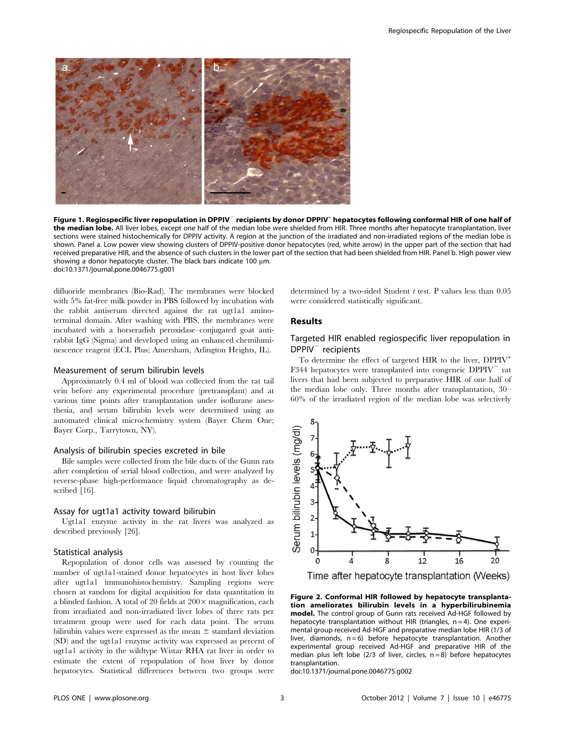

Figure 1. Regiospecific liver repopulation in DPPIV<sup>-</sup> recipients by donor DPPIV<sup>+</sup> hepatocytes following conformal HIR of one half of the median lobe. All liver lobes, except one half of the median lobe were shielded from HIR. Three months after hepatocyte transplantation, liver sections were stained histochemically for DPPIV activity. A region at the junction of the irradiated and non-irradiated regions of the median lobe is shown. Panel a. Low power view showing clusters of DPPIV-positive donor hepatocytes (red, white arrow) in the upper part of the section that had received preparative HIR, and the absence of such clusters in the lower part of the section that had been shielded from HIR. Panel b. High power view showing a donor hepatocyte cluster. The black bars indicate 100  $\mu$ m. doi:10.1371/journal.pone.0046775.g001

difluoride membranes (Bio-Rad). The membranes were blocked with 5% fat-free milk powder in PBS followed by incubation with the rabbit antiserum directed against the rat ugt1a1 aminoterminal domain. After washing with PBS, the membranes were incubated with a horseradish peroxidase–conjugated goat antirabbit IgG (Sigma) and developed using an enhanced chemiluminescence reagent (ECL Plus; Amersham, Arlington Heights, IL).

## Measurement of serum bilirubin levels

Approximately 0.4 ml of blood was collected from the rat tail vein before any experimental procedure (pretransplant) and at various time points after transplantation under isoflurane anesthesia, and serum bilirubin levels were determined using an automated clinical microchemistry system (Bayer Chem One; Bayer Corp., Tarrytown, NY).

#### Analysis of bilirubin species excreted in bile

Bile samples were collected from the bile ducts of the Gunn rats after completion of serial blood collection, and were analyzed by reverse-phase high-performance liquid chromatography as described [16].

#### Assay for ugt1a1 activity toward bilirubin

Ugt1a1 enzyme activity in the rat livers was analyzed as described previously [26].

# Statistical analysis

Repopulation of donor cells was assessed by counting the number of ugt1a1-stained donor hepatocytes in host liver lobes after ugt1a1 immunohistochemistry. Sampling regions were chosen at random for digital acquisition for data quantitation in a blinded fashion. A total of 20 fields at  $200 \times$  magnification, each from irradiated and non-irradiated liver lobes of three rats per treatment group were used for each data point. The serum bilirubin values were expressed as the mean  $\pm$  standard deviation (SD) and the ugt1a1 enzyme activity was expressed as percent of ugt1a1 activity in the wildtype Wistar RHA rat liver in order to estimate the extent of repopulation of host liver by donor hepatocytes. Statistical differences between two groups were

determined by a two-sided Student  $t$  test. P values less than  $0.05$ were considered statistically significant.

# Results

# Targeted HIR enabled regiospecific liver repopulation in  $DPPIV<sup>-</sup>$  recipients

To determine the effect of targeted HIR to the liver,  $DPPIV^+$ F344 hepatocytes were transplanted into congeneic  $DPPIV$  rat livers that had been subjected to preparative HIR of one half of the median lobe only. Three months after transplantation, 30– 60% of the irradiated region of the median lobe was selectively



Time after hepatocyte transplantation (Weeks)

Figure 2. Conformal HIR followed by hepatocyte transplantation ameliorates bilirubin levels in a hyperbilirubinemia model. The control group of Gunn rats received Ad-HGF followed by hepatocyte transplantation without HIR (triangles,  $n = 4$ ). One experimental group received Ad-HGF and preparative median lobe HIR (1/3 of liver, diamonds,  $n = 6$ ) before hepatocyte transplantation. Another experimental group received Ad-HGF and preparative HIR of the median plus left lobe (2/3 of liver, circles,  $n = 8$ ) before hepatocytes transplantation.

doi:10.1371/journal.pone.0046775.g002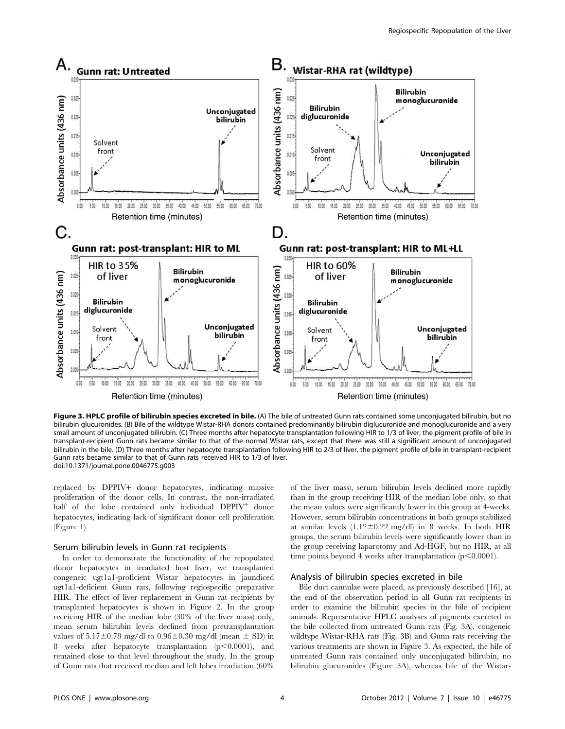

Figure 3. HPLC profile of bilirubin species excreted in bile. (A) The bile of untreated Gunn rats contained some unconjugated bilirubin, but no bilirubin glucuronides. (B) Bile of the wildtype Wistar-RHA donors contained predominantly bilirubin diglucuronide and monoglucuronide and a very small amount of unconjugated bilirubin. (C) Three months after hepatocyte transplantation following HIR to 1/3 of liver, the pigment profile of bile in transplant-recipient Gunn rats became similar to that of the normal Wistar rats, except that there was still a significant amount of unconjugated bilirubin in the bile. (D) Three months after hepatocyte transplantation following HIR to 2/3 of liver, the pigment profile of bile in transplant-recipient Gunn rats became similar to that of Gunn rats received HIR to 1/3 of liver. doi:10.1371/journal.pone.0046775.g003

replaced by DPPIV+ donor hepatocytes, indicating massive proliferation of the donor cells. In contrast, the non-irradiated half of the lobe contained only individual  $DPPIV^+$  donor hepatocytes, indicating lack of significant donor cell proliferation (Figure 1).

#### Serum bilirubin levels in Gunn rat recipients

In order to demonstrate the functionality of the repopulated donor hepatocytes in irradiated host liver, we transplanted congeneic ugt1a1-proficient Wistar hepatocytes in jaundiced ugt1a1-deficient Gunn rats, following regiospecific preparative HIR. The effect of liver replacement in Gunn rat recipients by transplanted hepatocytes is shown in Figure 2. In the group receiving HIR of the median lobe (30% of the liver mass) only, mean serum bilirubin levels declined from pretransplantation values of  $5.17\pm0.78$  mg/dl to  $0.96\pm0.30$  mg/dl (mean  $\pm$  SD) in 8 weeks after hepatocyte transplantation  $(p<0.0001)$ , and remained close to that level throughout the study. In the group of Gunn rats that received median and left lobes irradiation (60%

of the liver mass), serum bilirubin levels declined more rapidly than in the group receiving HIR of the median lobe only, so that the mean values were significantly lower in this group at 4-weeks. However, serum bilirubin concentrations in both groups stabilized at similar levels  $(1.12 \pm 0.22 \text{ mg/dl})$  in 8 weeks. In both HIR groups, the serum bilirubin levels were significantly lower than in the group receiving laparotomy and Ad-HGF, but no HIR, at all time points beyond 4 weeks after transplantation  $(p<0.0001)$ .

## Analysis of bilirubin species excreted in bile

Bile duct cannulae were placed, as previously described [16], at the end of the observation period in all Gunn rat recipients in order to examine the bilirubin species in the bile of recipient animals. Representative HPLC analyses of pigments excreted in the bile collected from untreated Gunn rats (Fig. 3A), congeneic wildtype Wistar-RHA rats (Fig. 3B) and Gunn rats receiving the various treatments are shown in Figure 3. As expected, the bile of untreated Gunn rats contained only unconjugated bilirubin, no bilirubin glucuronides (Figure 3A), whereas bile of the Wistar-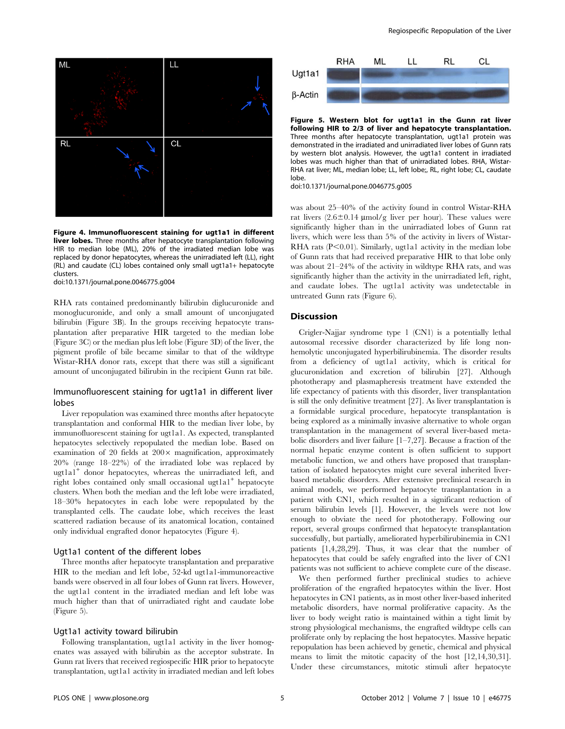

Figure 4. Immunofluorescent staining for ugt1a1 in different liver lobes. Three months after hepatocyte transplantation following HIR to median lobe (ML), 20% of the irradiated median lobe was replaced by donor hepatocytes, whereas the unirradiated left (LL), right (RL) and caudate (CL) lobes contained only small ugt1a1+ hepatocyte clusters.

doi:10.1371/journal.pone.0046775.g004

RHA rats contained predominantly bilirubin diglucuronide and monoglucuronide, and only a small amount of unconjugated bilirubin (Figure 3B). In the groups receiving hepatocyte transplantation after preparative HIR targeted to the median lobe (Figure 3C) or the median plus left lobe (Figure 3D) of the liver, the pigment profile of bile became similar to that of the wildtype Wistar-RHA donor rats, except that there was still a significant amount of unconjugated bilirubin in the recipient Gunn rat bile.

# Immunofluorescent staining for ugt1a1 in different liver lobes

Liver repopulation was examined three months after hepatocyte transplantation and conformal HIR to the median liver lobe, by immunofluorescent staining for ugt1a1. As expected, transplanted hepatocytes selectively repopulated the median lobe. Based on examination of 20 fields at  $200 \times$  magnification, approximately 20% (range 18–22%) of the irradiated lobe was replaced by ugt1a1<sup>+</sup> donor hepatocytes, whereas the unirradiated left, and right lobes contained only small occasional ugt1a1<sup>+</sup> hepatocyte clusters. When both the median and the left lobe were irradiated, 18–30% hepatocytes in each lobe were repopulated by the transplanted cells. The caudate lobe, which receives the least scattered radiation because of its anatomical location, contained only individual engrafted donor hepatocytes (Figure 4).

## Ugt1a1 content of the different lobes

Three months after hepatocyte transplantation and preparative HIR to the median and left lobe, 52-kd ugt1a1-immunoreactive bands were observed in all four lobes of Gunn rat livers. However, the ugt1a1 content in the irradiated median and left lobe was much higher than that of unirradiated right and caudate lobe (Figure 5).

#### Ugt1a1 activity toward bilirubin

Following transplantation, ugt1a1 activity in the liver homogenates was assayed with bilirubin as the acceptor substrate. In Gunn rat livers that received regiospecific HIR prior to hepatocyte transplantation, ugt1a1 activity in irradiated median and left lobes



Figure 5. Western blot for ugt1a1 in the Gunn rat liver following HIR to 2/3 of liver and hepatocyte transplantation. Three months after hepatocyte transplantation, ugt1a1 protein was demonstrated in the irradiated and unirradiated liver lobes of Gunn rats by western blot analysis. However, the ugt1a1 content in irradiated lobes was much higher than that of unirradiated lobes. RHA, Wistar-RHA rat liver; ML, median lobe; LL, left lobe;, RL, right lobe; CL, caudate lobe.

doi:10.1371/journal.pone.0046775.g005

was about 25–40% of the activity found in control Wistar-RHA rat livers  $(2.6 \pm 0.14 \text{ \mu} \text{mol/g}$  liver per hour). These values were significantly higher than in the unirradiated lobes of Gunn rat livers, which were less than 5% of the activity in livers of Wistar-RHA rats  $(P<0.01)$ . Similarly, ugt1a1 activity in the median lobe of Gunn rats that had received preparative HIR to that lobe only was about 21–24% of the activity in wildtype RHA rats, and was significantly higher than the activity in the unirradiated left, right, and caudate lobes. The ugt1a1 activity was undetectable in untreated Gunn rats (Figure 6).

# **Discussion**

Crigler-Najjar syndrome type 1 (CN1) is a potentially lethal autosomal recessive disorder characterized by life long nonhemolytic unconjugated hyperbilirubinemia. The disorder results from a deficiency of ugt1a1 activity, which is critical for glucuronidation and excretion of bilirubin [27]. Although phototherapy and plasmapheresis treatment have extended the life expectancy of patients with this disorder, liver transplantation is still the only definitive treatment [27]. As liver transplantation is a formidable surgical procedure, hepatocyte transplantation is being explored as a minimally invasive alternative to whole organ transplantation in the management of several liver-based metabolic disorders and liver failure [1–7,27]. Because a fraction of the normal hepatic enzyme content is often sufficient to support metabolic function, we and others have proposed that transplantation of isolated hepatocytes might cure several inherited liverbased metabolic disorders. After extensive preclinical research in animal models, we performed hepatocyte transplantation in a patient with CN1, which resulted in a significant reduction of serum bilirubin levels [1]. However, the levels were not low enough to obviate the need for phototherapy. Following our report, several groups confirmed that hepatocyte transplantation successfully, but partially, ameliorated hyperbilirubinemia in CN1 patients [1,4,28,29]. Thus, it was clear that the number of hepatocytes that could be safely engrafted into the liver of CN1 patients was not sufficient to achieve complete cure of the disease.

We then performed further preclinical studies to achieve proliferation of the engrafted hepatocytes within the liver. Host hepatocytes in CN1 patients, as in most other liver-based inherited metabolic disorders, have normal proliferative capacity. As the liver to body weight ratio is maintained within a tight limit by strong physiological mechanisms, the engrafted wildtype cells can proliferate only by replacing the host hepatocytes. Massive hepatic repopulation has been achieved by genetic, chemical and physical means to limit the mitotic capacity of the host [12,14,30,31]. Under these circumstances, mitotic stimuli after hepatocyte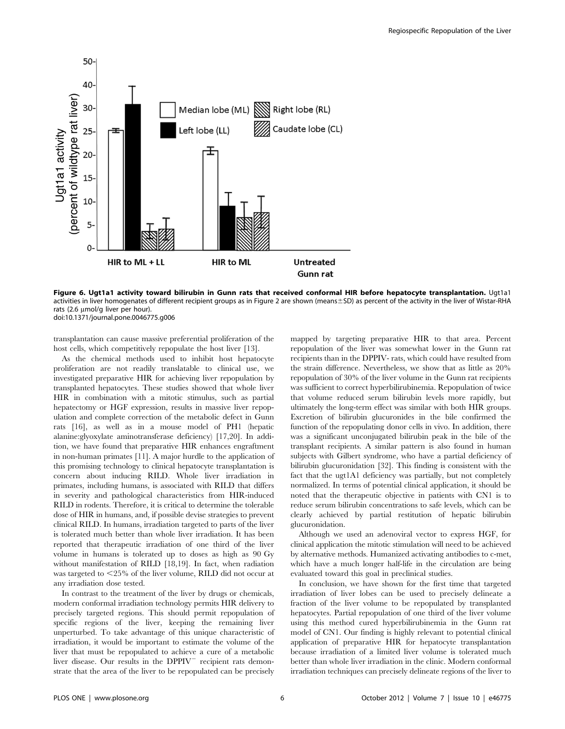

Figure 6. Ugt1a1 activity toward bilirubin in Gunn rats that received conformal HIR before hepatocyte transplantation. Ugt1a1 activities in liver homogenates of different recipient groups as in Figure 2 are shown (means±SD) as percent of the activity in the liver of Wistar-RHA rats (2.6  $\mu$ mol/g liver per hour). doi:10.1371/journal.pone.0046775.g006

transplantation can cause massive preferential proliferation of the host cells, which competitively repopulate the host liver [13].

As the chemical methods used to inhibit host hepatocyte proliferation are not readily translatable to clinical use, we investigated preparative HIR for achieving liver repopulation by transplanted hepatocytes. These studies showed that whole liver HIR in combination with a mitotic stimulus, such as partial hepatectomy or HGF expression, results in massive liver repopulation and complete correction of the metabolic defect in Gunn rats [16], as well as in a mouse model of PH1 (hepatic alanine:glyoxylate aminotransferase deficiency) [17,20]. In addition, we have found that preparative HIR enhances engraftment in non-human primates [11]. A major hurdle to the application of this promising technology to clinical hepatocyte transplantation is concern about inducing RILD. Whole liver irradiation in primates, including humans, is associated with RILD that differs in severity and pathological characteristics from HIR-induced RILD in rodents. Therefore, it is critical to determine the tolerable dose of HIR in humans, and, if possible devise strategies to prevent clinical RILD. In humans, irradiation targeted to parts of the liver is tolerated much better than whole liver irradiation. It has been reported that therapeutic irradiation of one third of the liver volume in humans is tolerated up to doses as high as 90 Gy without manifestation of RILD [18,19]. In fact, when radiation was targeted to  $\leq$ 25% of the liver volume, RILD did not occur at any irradiation dose tested.

In contrast to the treatment of the liver by drugs or chemicals, modern conformal irradiation technology permits HIR delivery to precisely targeted regions. This should permit repopulation of specific regions of the liver, keeping the remaining liver unperturbed. To take advantage of this unique characteristic of irradiation, it would be important to estimate the volume of the liver that must be repopulated to achieve a cure of a metabolic liver disease. Our results in the  $DPPIV$ <sup> $-$ </sup> recipient rats demonstrate that the area of the liver to be repopulated can be precisely mapped by targeting preparative HIR to that area. Percent repopulation of the liver was somewhat lower in the Gunn rat recipients than in the DPPIV- rats, which could have resulted from the strain difference. Nevertheless, we show that as little as 20% repopulation of 30% of the liver volume in the Gunn rat recipients was sufficient to correct hyperbilirubinemia. Repopulation of twice that volume reduced serum bilirubin levels more rapidly, but ultimately the long-term effect was similar with both HIR groups. Excretion of bilirubin glucuronides in the bile confirmed the function of the repopulating donor cells in vivo. In addition, there was a significant unconjugated bilirubin peak in the bile of the transplant recipients. A similar pattern is also found in human subjects with Gilbert syndrome, who have a partial deficiency of bilirubin glucuronidation [32]. This finding is consistent with the fact that the ugt1A1 deficiency was partially, but not completely normalized. In terms of potential clinical application, it should be noted that the therapeutic objective in patients with CN1 is to reduce serum bilirubin concentrations to safe levels, which can be clearly achieved by partial restitution of hepatic bilirubin glucuronidation.

Although we used an adenoviral vector to express HGF, for clinical application the mitotic stimulation will need to be achieved by alternative methods. Humanized activating antibodies to c-met, which have a much longer half-life in the circulation are being evaluated toward this goal in preclinical studies.

In conclusion, we have shown for the first time that targeted irradiation of liver lobes can be used to precisely delineate a fraction of the liver volume to be repopulated by transplanted hepatocytes. Partial repopulation of one third of the liver volume using this method cured hyperbilirubinemia in the Gunn rat model of CN1. Our finding is highly relevant to potential clinical application of preparative HIR for hepatocyte transplantation because irradiation of a limited liver volume is tolerated much better than whole liver irradiation in the clinic. Modern conformal irradiation techniques can precisely delineate regions of the liver to